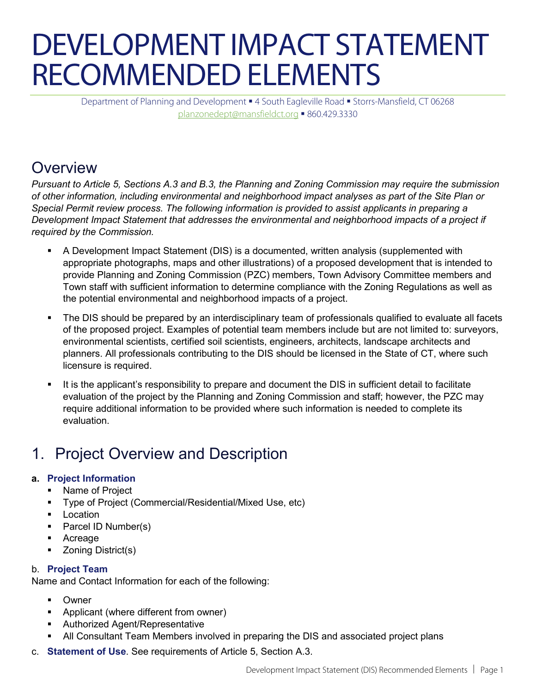# DEVELOPMENT IMPACT STATEMENT RECOMMENDED ELEMENTS

Department of Planning and Development .4 South Eagleville Road . Storrs-Mansfield, CT 06268 [planzonedept@mansfieldct.org](mailto:planzonedept@mansfieldct.org) 860.429.3330

### Overview

*Pursuant to Article 5, Sections A.3 and B.3, the Planning and Zoning Commission may require the submission of other information, including environmental and neighborhood impact analyses as part of the Site Plan or Special Permit review process. The following information is provided to assist applicants in preparing a Development Impact Statement that addresses the environmental and neighborhood impacts of a project if required by the Commission.* 

- A Development Impact Statement (DIS) is a documented, written analysis (supplemented with appropriate photographs, maps and other illustrations) of a proposed development that is intended to provide Planning and Zoning Commission (PZC) members, Town Advisory Committee members and Town staff with sufficient information to determine compliance with the Zoning Regulations as well as the potential environmental and neighborhood impacts of a project.
- The DIS should be prepared by an interdisciplinary team of professionals qualified to evaluate all facets of the proposed project. Examples of potential team members include but are not limited to: surveyors, environmental scientists, certified soil scientists, engineers, architects, landscape architects and planners. All professionals contributing to the DIS should be licensed in the State of CT, where such licensure is required.
- It is the applicant's responsibility to prepare and document the DIS in sufficient detail to facilitate evaluation of the project by the Planning and Zoning Commission and staff; however, the PZC may require additional information to be provided where such information is needed to complete its evaluation.

# 1. Project Overview and Description

#### **a. Project Information**

- Name of Project
- Type of Project (Commercial/Residential/Mixed Use, etc)
- **Location**
- Parcel ID Number(s)
- Acreage
- Zoning District(s)

#### b. **Project Team**

Name and Contact Information for each of the following:

- Owner
- **Applicant (where different from owner)**
- **Authorized Agent/Representative**
- All Consultant Team Members involved in preparing the DIS and associated project plans
- c. **Statement of Use**. See requirements of Article 5, Section A.3.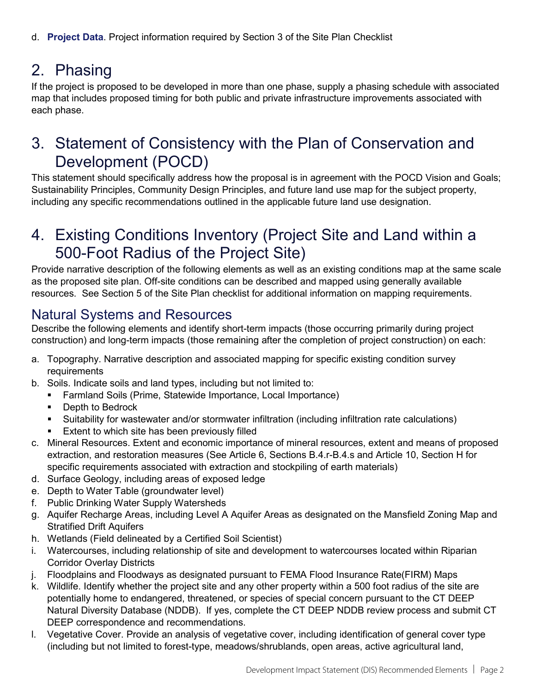# 2. Phasing

If the project is proposed to be developed in more than one phase, supply a phasing schedule with associated map that includes proposed timing for both public and private infrastructure improvements associated with each phase.

### 3. Statement of Consistency with the Plan of Conservation and Development (POCD)

This statement should specifically address how the proposal is in agreement with the POCD Vision and Goals; Sustainability Principles, Community Design Principles, and future land use map for the subject property, including any specific recommendations outlined in the applicable future land use designation.

### 4. Existing Conditions Inventory (Project Site and Land within a 500-Foot Radius of the Project Site)

Provide narrative description of the following elements as well as an existing conditions map at the same scale as the proposed site plan. Off-site conditions can be described and mapped using generally available resources. See Section 5 of the Site Plan checklist for additional information on mapping requirements.

#### Natural Systems and Resources

Describe the following elements and identify short-term impacts (those occurring primarily during project construction) and long-term impacts (those remaining after the completion of project construction) on each:

- a. Topography. Narrative description and associated mapping for specific existing condition survey requirements
- b. Soils. Indicate soils and land types, including but not limited to:
	- Farmland Soils (Prime, Statewide Importance, Local Importance)
	- Depth to Bedrock
	- Suitability for wastewater and/or stormwater infiltration (including infiltration rate calculations)
	- Extent to which site has been previously filled
- c. Mineral Resources. Extent and economic importance of mineral resources, extent and means of proposed extraction, and restoration measures (See Article 6, Sections B.4.r-B.4.s and Article 10, Section H for specific requirements associated with extraction and stockpiling of earth materials)
- d. Surface Geology, including areas of exposed ledge
- e. Depth to Water Table (groundwater level)
- f. Public Drinking Water Supply Watersheds
- g. Aquifer Recharge Areas, including Level A Aquifer Areas as designated on the Mansfield Zoning Map and Stratified Drift Aquifers
- h. Wetlands (Field delineated by a Certified Soil Scientist)
- i. Watercourses, including relationship of site and development to watercourses located within Riparian Corridor Overlay Districts
- j. Floodplains and Floodways as designated pursuant to FEMA Flood Insurance Rate(FIRM) Maps
- k. Wildlife. Identify whether the project site and any other property within a 500 foot radius of the site are potentially home to endangered, threatened, or species of special concern pursuant to the CT DEEP Natural Diversity Database (NDDB). If yes, complete the CT DEEP NDDB review process and submit CT DEEP correspondence and recommendations.
- l. Vegetative Cover. Provide an analysis of vegetative cover, including identification of general cover type (including but not limited to forest-type, meadows/shrublands, open areas, active agricultural land,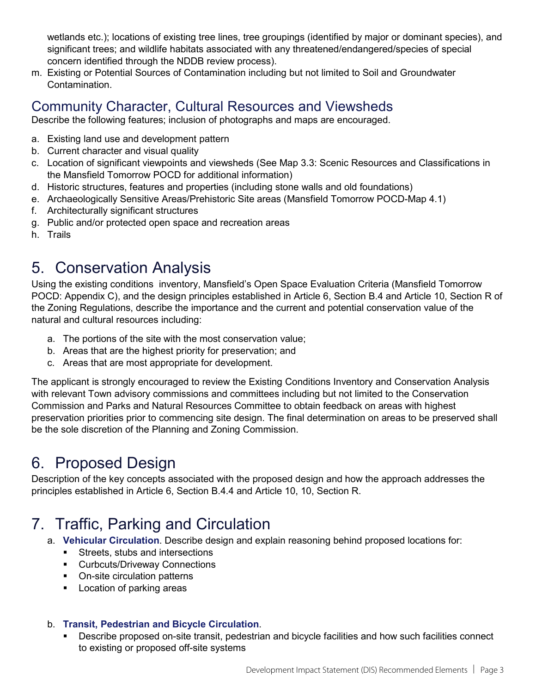wetlands etc.); locations of existing tree lines, tree groupings (identified by major or dominant species), and significant trees; and wildlife habitats associated with any threatened/endangered/species of special concern identified through the NDDB review process).

m. Existing or Potential Sources of Contamination including but not limited to Soil and Groundwater Contamination.

#### Community Character, Cultural Resources and Viewsheds

Describe the following features; inclusion of photographs and maps are encouraged.

- a. Existing land use and development pattern
- b. Current character and visual quality
- c. Location of significant viewpoints and viewsheds (See Map 3.3: Scenic Resources and Classifications in the Mansfield Tomorrow POCD for additional information)
- d. Historic structures, features and properties (including stone walls and old foundations)
- e. Archaeologically Sensitive Areas/Prehistoric Site areas (Mansfield Tomorrow POCD-Map 4.1)
- f. Architecturally significant structures
- g. Public and/or protected open space and recreation areas
- h. Trails

### 5. Conservation Analysis

Using the existing conditions inventory, Mansfield's Open Space Evaluation Criteria (Mansfield Tomorrow POCD: Appendix C), and the design principles established in Article 6, Section B.4 and Article 10, Section R of the Zoning Regulations, describe the importance and the current and potential conservation value of the natural and cultural resources including:

- a. The portions of the site with the most conservation value;
- b. Areas that are the highest priority for preservation; and
- c. Areas that are most appropriate for development.

The applicant is strongly encouraged to review the Existing Conditions Inventory and Conservation Analysis with relevant Town advisory commissions and committees including but not limited to the Conservation Commission and Parks and Natural Resources Committee to obtain feedback on areas with highest preservation priorities prior to commencing site design. The final determination on areas to be preserved shall be the sole discretion of the Planning and Zoning Commission.

# 6. Proposed Design

Description of the key concepts associated with the proposed design and how the approach addresses the principles established in Article 6, Section B.4.4 and Article 10, 10, Section R.

# 7. Traffic, Parking and Circulation

- a. **Vehicular Circulation**. Describe design and explain reasoning behind proposed locations for:
	- **Streets, stubs and intersections**
	- **-** Curbcuts/Driveway Connections
	- On-site circulation patterns
	- **Location of parking areas**

#### b. **Transit, Pedestrian and Bicycle Circulation**.

 Describe proposed on-site transit, pedestrian and bicycle facilities and how such facilities connect to existing or proposed off-site systems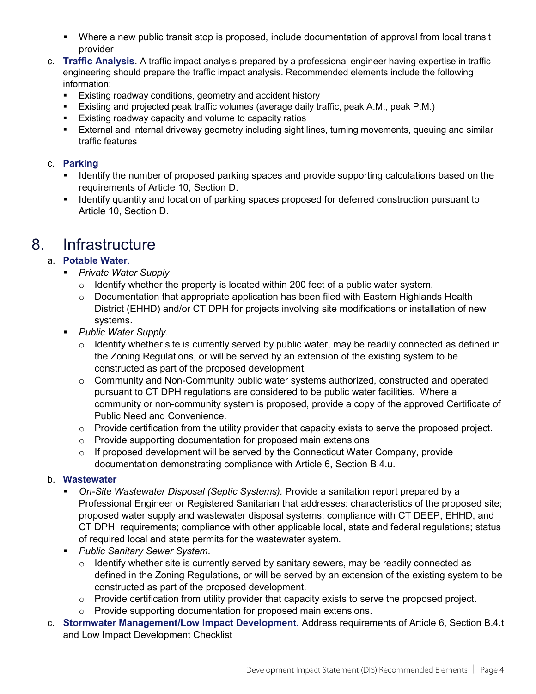- Where a new public transit stop is proposed, include documentation of approval from local transit provider
- c. **Traffic Analysis**. A traffic impact analysis prepared by a professional engineer having expertise in traffic engineering should prepare the traffic impact analysis. Recommended elements include the following information:
	- Existing roadway conditions, geometry and accident history
	- Existing and projected peak traffic volumes (average daily traffic, peak A.M., peak P.M.)
	- **Existing roadway capacity and volume to capacity ratios**
	- External and internal driveway geometry including sight lines, turning movements, queuing and similar traffic features

#### c. **Parking**

- Identify the number of proposed parking spaces and provide supporting calculations based on the requirements of Article 10, Section D.
- I Identify quantity and location of parking spaces proposed for deferred construction pursuant to Article 10, Section D.

#### 8. Infrastructure

#### a. **Potable Water**.

- *Private Water Supply*
	- $\circ$  Identify whether the property is located within 200 feet of a public water system.
	- $\circ$  Documentation that appropriate application has been filed with Eastern Highlands Health District (EHHD) and/or CT DPH for projects involving site modifications or installation of new systems.
- *Public Water Supply.*
	- $\circ$  Identify whether site is currently served by public water, may be readily connected as defined in the Zoning Regulations, or will be served by an extension of the existing system to be constructed as part of the proposed development.
	- $\circ$  Community and Non-Community public water systems authorized, constructed and operated pursuant to CT DPH regulations are considered to be public water facilities. Where a community or non-community system is proposed, provide a copy of the approved Certificate of Public Need and Convenience.
	- o Provide certification from the utility provider that capacity exists to serve the proposed project.
	- o Provide supporting documentation for proposed main extensions
	- $\circ$  If proposed development will be served by the Connecticut Water Company, provide documentation demonstrating compliance with Article 6, Section B.4.u.

#### b. **Wastewater**

- *On-Site Wastewater Disposal (Septic Systems).* Provide a sanitation report prepared by a Professional Engineer or Registered Sanitarian that addresses: characteristics of the proposed site; proposed water supply and wastewater disposal systems; compliance with CT DEEP, EHHD, and CT DPH requirements; compliance with other applicable local, state and federal regulations; status of required local and state permits for the wastewater system.
- *Public Sanitary Sewer System*.
	- $\circ$  Identify whether site is currently served by sanitary sewers, may be readily connected as defined in the Zoning Regulations, or will be served by an extension of the existing system to be constructed as part of the proposed development.
	- o Provide certification from utility provider that capacity exists to serve the proposed project.
	- o Provide supporting documentation for proposed main extensions.
- c. **Stormwater Management/Low Impact Development.** Address requirements of Article 6, Section B.4.t and Low Impact Development Checklist